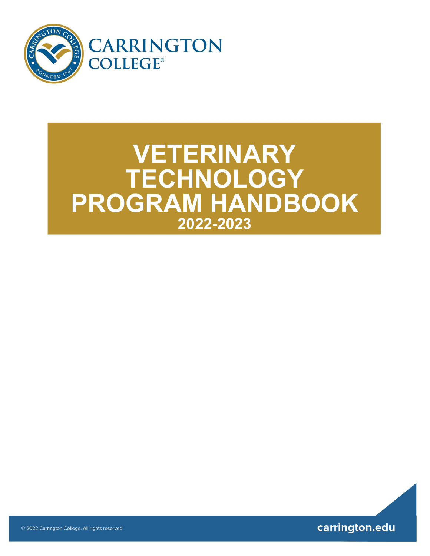

## **VETERINARY TECHNOLOGY PROGRAM HANDBOOK 2022-2023**



© 2022 Carrington College. All rights reserved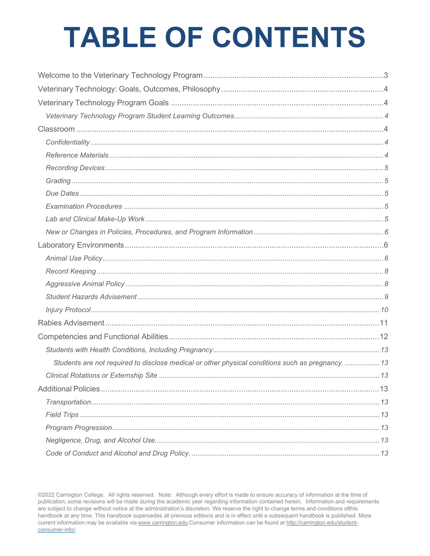# **TABLE OF CONTENTS**

| Students are not required to disclose medical or other physical conditions such as pregnancy.  13 |  |
|---------------------------------------------------------------------------------------------------|--|
|                                                                                                   |  |
|                                                                                                   |  |
|                                                                                                   |  |
|                                                                                                   |  |
|                                                                                                   |  |
|                                                                                                   |  |
|                                                                                                   |  |

@2022 Carrington College. All rights reserved. Note: Although every effort is made to ensure accuracy of information at the time of publication, some revisions will be made during the academic year regarding information contained herein. Information and requirements are subject to change without notice at the administration's discretion. We reserve the right to change terms and conditions ofthis handbook at any time. This handbook supersedes all previous editions and is in effect until a subsequent handbook is published. More current information may be available via www.carrington.edu.Consumer information can be found at http://carrington.edu/studentconsumer-info/.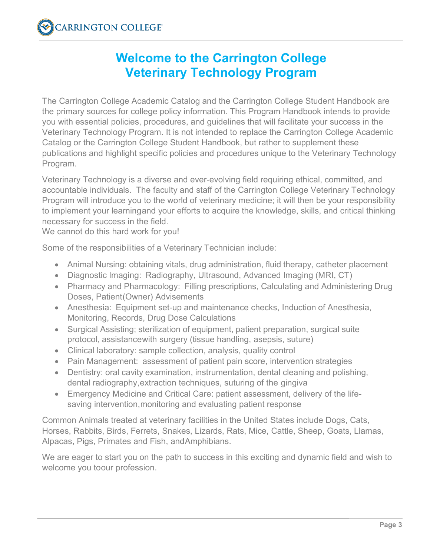## **Welcome to the Carrington College Veterinary Technology Program**

<span id="page-2-0"></span>The Carrington College Academic Catalog and the Carrington College Student Handbook are the primary sources for college policy information. This Program Handbook intends to provide you with essential policies, procedures, and guidelines that will facilitate your success in the Veterinary Technology Program. It is not intended to replace the Carrington College Academic Catalog or the Carrington College Student Handbook, but rather to supplement these publications and highlight specific policies and procedures unique to the Veterinary Technology Program.

Veterinary Technology is a diverse and ever-evolving field requiring ethical, committed, and accountable individuals. The faculty and staff of the Carrington College Veterinary Technology Program will introduce you to the world of veterinary medicine; it will then be your responsibility to implement your learningand your efforts to acquire the knowledge, skills, and critical thinking necessary for success in the field.

We cannot do this hard work for you!

Some of the responsibilities of a Veterinary Technician include:

- Animal Nursing: obtaining vitals, drug administration, fluid therapy, catheter placement
- Diagnostic Imaging: Radiography, Ultrasound, Advanced Imaging (MRI, CT)
- Pharmacy and Pharmacology: Filling prescriptions, Calculating and Administering Drug Doses, Patient(Owner) Advisements
- Anesthesia: Equipment set-up and maintenance checks, Induction of Anesthesia, Monitoring, Records, Drug Dose Calculations
- Surgical Assisting; sterilization of equipment, patient preparation, surgical suite protocol, assistancewith surgery (tissue handling, asepsis, suture)
- Clinical laboratory: sample collection, analysis, quality control
- Pain Management: assessment of patient pain score, intervention strategies
- Dentistry: oral cavity examination, instrumentation, dental cleaning and polishing, dental radiography,extraction techniques, suturing of the gingiva
- Emergency Medicine and Critical Care: patient assessment, delivery of the lifesaving intervention,monitoring and evaluating patient response

Common Animals treated at veterinary facilities in the United States include Dogs, Cats, Horses, Rabbits, Birds, Ferrets, Snakes, Lizards, Rats, Mice, Cattle, Sheep, Goats, Llamas, Alpacas, Pigs, Primates and Fish, andAmphibians.

We are eager to start you on the path to success in this exciting and dynamic field and wish to welcome you toour profession.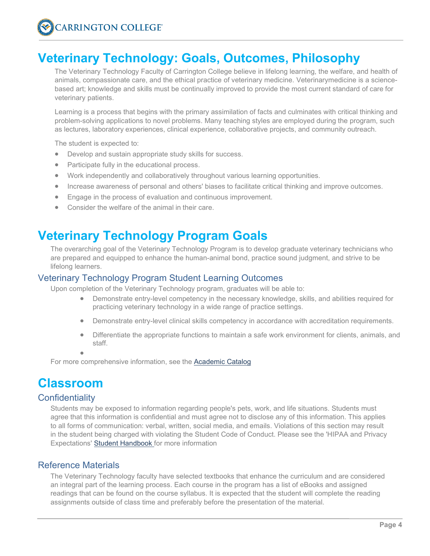## <span id="page-3-0"></span>**Veterinary Technology: Goals, Outcomes, Philosophy**

The Veterinary Technology Faculty of Carrington College believe in lifelong learning, the welfare, and health of animals, compassionate care, and the ethical practice of veterinary medicine. Veterinarymedicine is a sciencebased art; knowledge and skills must be continually improved to provide the most current standard of care for veterinary patients.

Learning is a process that begins with the primary assimilation of facts and culminates with critical thinking and problem-solving applications to novel problems. Many teaching styles are employed during the program, such as lectures, laboratory experiences, clinical experience, collaborative projects, and community outreach.

The student is expected to:

- Develop and sustain appropriate study skills for success.
- Participate fully in the educational process.
- Work independently and collaboratively throughout various learning opportunities.
- Increase awareness of personal and others' biases to facilitate critical thinking and improve outcomes.
- Engage in the process of evaluation and continuous improvement.
- Consider the welfare of the animal in their care.

## <span id="page-3-1"></span>**Veterinary Technology Program Goals**

The overarching goal of the Veterinary Technology Program is to develop graduate veterinary technicians who are prepared and equipped to enhance the human-animal bond, practice sound judgment, and strive to be lifelong learners.

## <span id="page-3-2"></span>Veterinary Technology Program Student Learning Outcomes

Upon completion of the Veterinary Technology program, graduates will be able to:

- Demonstrate entry-level competency in the necessary knowledge, skills, and abilities required for practicing veterinary technology in a wide range of practice settings.
- Demonstrate entry-level clinical skills competency in accordance with accreditation requirements.
- Differentiate the appropriate functions to maintain a safe work environment for clients, animals, and staff.

•

For more comprehensive information, see the [Academic Catalog](https://carrington.edu/carrington-college/catalog/)

## <span id="page-3-3"></span>**Classroom**

## <span id="page-3-4"></span>**Confidentiality**

Students may be exposed to information regarding people's pets, work, and life situations. Students must agree that this information is confidential and must agree not to disclose any of this information. This applies to all forms of communication: verbal, written, social media, and emails. Violations of this section may result in the student being charged with violating the Student Code of Conduct. Please see the 'HIPAA and Privacy Expectations' [Student Handbook f](https://students.carrington.edu/student-handbook/)or more information

## <span id="page-3-5"></span>Reference Materials

The Veterinary Technology faculty have selected textbooks that enhance the curriculum and are considered an integral part of the learning process. Each course in the program has a list of eBooks and assigned readings that can be found on the course syllabus. It is expected that the student will complete the reading assignments outside of class time and preferably before the presentation of the material.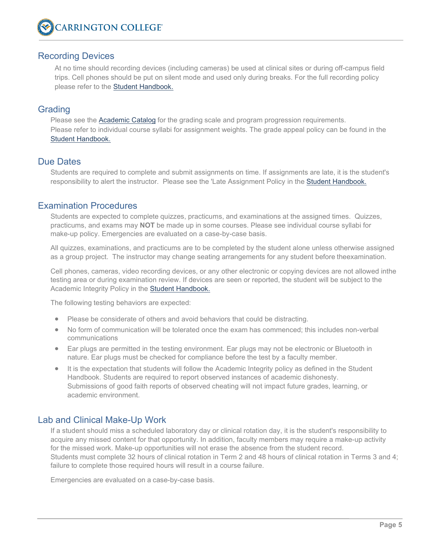## <span id="page-4-0"></span>Recording Devices

At no time should recording devices (including cameras) be used at clinical sites or during off-campus field trips. Cell phones should be put on silent mode and used only during breaks. For the full recording policy please refer to the [Student Handbook.](https://students.carrington.edu/student-handbook/)

## <span id="page-4-1"></span>**Grading**

Please see the [Academic Catalog](https://carrington.edu/carrington-college/catalog/) for the grading scale and program progression requirements. Please refer to individual course syllabi for assignment weights. The grade appeal policy can be found in the [Student Handbook.](https://students.carrington.edu/student-handbook/)

## <span id="page-4-2"></span>Due Dates

Students are required to complete and submit assignments on time. If assignments are late, it is the student's responsibility to alert the instructor. Please see the 'Late Assignment Policy in the [Student Handbook.](https://students.carrington.edu/student-handbook/)

## <span id="page-4-3"></span>Examination Procedures

Students are expected to complete quizzes, practicums, and examinations at the assigned times. Quizzes, practicums, and exams may **NOT** be made up in some courses. Please see individual course syllabi for make-up policy. Emergencies are evaluated on a case-by-case basis.

All quizzes, examinations, and practicums are to be completed by the student alone unless otherwise assigned as a group project. The instructor may change seating arrangements for any student before theexamination.

Cell phones, cameras, video recording devices, or any other electronic or copying devices are not allowed inthe testing area or during examination review. If devices are seen or reported, the student will be subject to the Academic Integrity Policy in the [Student](https://students.carrington.edu/student-handbook/) [Handbook.](https://docs.carrington.edu/forms/hand-books/2018/student-handbook.pdf)

The following testing behaviors are expected:

- Please be considerate of others and avoid behaviors that could be distracting.
- No form of communication will be tolerated once the exam has commenced; this includes non-verbal communications
- Ear plugs are permitted in the testing environment. Ear plugs may not be electronic or Bluetooth in nature. Ear plugs must be checked for compliance before the test by a faculty member.
- It is the expectation that students will follow the Academic Integrity policy as defined in the Student Handbook. Students are required to report observed instances of academic dishonesty. Submissions of good faith reports of observed cheating will not impact future grades, learning, or academic environment.

## <span id="page-4-4"></span>Lab and Clinical Make-Up Work

If a student should miss a scheduled laboratory day or clinical rotation day, it is the student's responsibility to acquire any missed content for that opportunity. In addition, faculty members may require a make-up activity for the missed work. Make-up opportunities will not erase the absence from the student record. Students must complete 32 hours of clinical rotation in Term 2 and 48 hours of clinical rotation in Terms 3 and 4; failure to complete those required hours will result in a course failure.

Emergencies are evaluated on a case-by-case basis.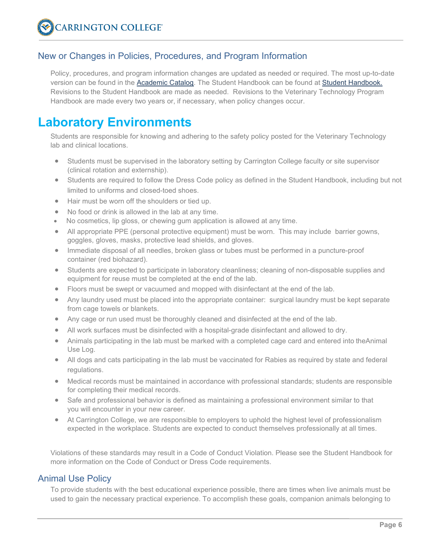## <span id="page-5-0"></span>New or Changes in Policies, Procedures, and Program Information

Policy, procedures, and program information changes are updated as needed or required. The most up-to-date version can be found in the [Academic Catalog.](https://carrington.edu/carrington-college/catalog/) The Student Handbook can be found at [Student](https://students.carrington.edu/student-handbook/) [Handbook.](https://docs.carrington.edu/forms/hand-books/2018/student-handbook.pdf) Revisions to the Student Handbook are made as needed. Revisions to the Veterinary Technology Program Handbook are made every two years or, if necessary, when policy changes occur.

## <span id="page-5-1"></span>**Laboratory Environments**

Students are responsible for knowing and adhering to the safety policy posted for the Veterinary Technology lab and clinical locations.

- Students must be supervised in the laboratory setting by Carrington College faculty or site supervisor (clinical rotation and externship).
- Students are required to follow the Dress Code policy as defined in the Student Handbook, including but not limited to uniforms and closed-toed shoes.
- Hair must be worn off the shoulders or tied up.
- No food or drink is allowed in the lab at any time.
- No cosmetics, lip gloss, or chewing gum application is allowed at any time.
- All appropriate PPE (personal protective equipment) must be worn. This may include barrier gowns, goggles, gloves, masks, protective lead shields, and gloves.
- Immediate disposal of all needles, broken glass or tubes must be performed in a puncture-proof container (red biohazard).
- Students are expected to participate in laboratory cleanliness; cleaning of non-disposable supplies and equipment for reuse must be completed at the end of the lab.
- Floors must be swept or vacuumed and mopped with disinfectant at the end of the lab.
- Any laundry used must be placed into the appropriate container: surgical laundry must be kept separate from cage towels or blankets.
- Any cage or run used must be thoroughly cleaned and disinfected at the end of the lab.
- All work surfaces must be disinfected with a hospital-grade disinfectant and allowed to dry.
- Animals participating in the lab must be marked with a completed cage card and entered into theAnimal Use Log.
- All dogs and cats participating in the lab must be vaccinated for Rabies as required by state and federal regulations.
- Medical records must be maintained in accordance with professional standards; students are responsible for completing their medical records.
- Safe and professional behavior is defined as maintaining a professional environment similar to that you will encounter in your new career.
- At Carrington College, we are responsible to employers to uphold the highest level of professionalism expected in the workplace. Students are expected to conduct themselves professionally at all times.

Violations of these standards may result in a Code of Conduct Violation. Please see the Student Handbook for more information on the Code of Conduct or Dress Code requirements.

## <span id="page-5-2"></span>Animal Use Policy

To provide students with the best educational experience possible, there are times when live animals must be used to gain the necessary practical experience. To accomplish these goals, companion animals belonging to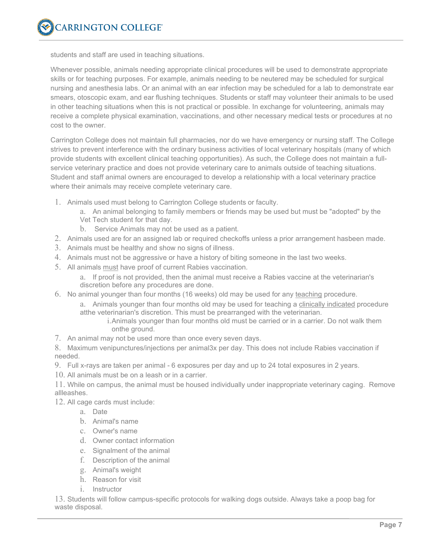students and staff are used in teaching situations.

Whenever possible, animals needing appropriate clinical procedures will be used to demonstrate appropriate skills or for teaching purposes. For example, animals needing to be neutered may be scheduled for surgical nursing and anesthesia labs. Or an animal with an ear infection may be scheduled for a lab to demonstrate ear smears, otoscopic exam, and ear flushing techniques. Students or staff may volunteer their animals to be used in other teaching situations when this is not practical or possible. In exchange for volunteering, animals may receive a complete physical examination, vaccinations, and other necessary medical tests or procedures at no cost to the owner.

Carrington College does not maintain full pharmacies, nor do we have emergency or nursing staff. The College strives to prevent interference with the ordinary business activities of local veterinary hospitals (many of which provide students with excellent clinical teaching opportunities). As such, the College does not maintain a fullservice veterinary practice and does not provide veterinary care to animals outside of teaching situations. Student and staff animal owners are encouraged to develop a relationship with a local veterinary practice where their animals may receive complete veterinary care.

- 1. Animals used must belong to Carrington College students or faculty.
	- a. An animal belonging to family members or friends may be used but must be "adopted" by the Vet Tech student for that day.
	- b. Service Animals may not be used as a patient.
- 2. Animals used are for an assigned lab or required checkoffs unless a prior arrangement hasbeen made.
- 3. Animals must be healthy and show no signs of illness.
- 4. Animals must not be aggressive or have a history of biting someone in the last two weeks.
- 5. All animals must have proof of current Rabies vaccination.
	- a. If proof is not provided, then the animal must receive a Rabies vaccine at the veterinarian's discretion before any procedures are done.
- 6. No animal younger than four months (16 weeks) old may be used for any teaching procedure.
	- a. Animals younger than four months old may be used for teaching a clinically indicated procedure atthe veterinarian's discretion. This must be prearranged with the veterinarian.
		- i.Animals younger than four months old must be carried or in a carrier. Do not walk them onthe ground.
- 7. An animal may not be used more than once every seven days.

8. Maximum venipunctures/injections per animal3x per day. This does not include Rabies vaccination if needed.

- 9. Full x-rays are taken per animal 6 exposures per day and up to 24 total exposures in 2 years.
- 10. All animals must be on a leash or in a carrier.

11. While on campus, the animal must be housed individually under inappropriate veterinary caging. Remove allleashes.

12. All cage cards must include:

- a. Date
- b. Animal's name
- c. Owner's name
- d. Owner contact information
- e. Signalment of the animal
- f. Description of the animal
- g. Animal's weight
- h. Reason for visit
- i. Instructor

13. Students will follow campus-specific protocols for walking dogs outside. Always take a poop bag for waste disposal.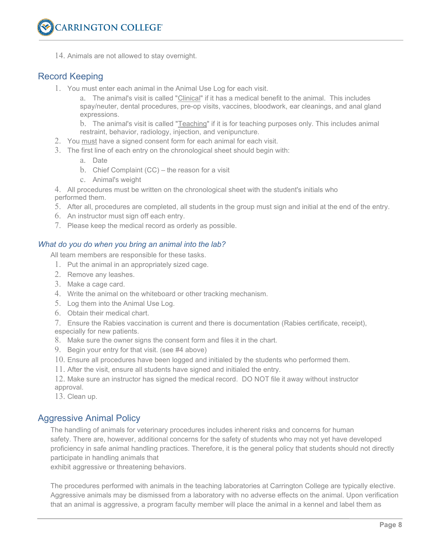

14. Animals are not allowed to stay overnight.

## <span id="page-7-0"></span>Record Keeping

1. You must enter each animal in the Animal Use Log for each visit.

a. The animal's visit is called "Clinical" if it has a medical benefit to the animal. This includes spay/neuter, dental procedures, pre-op visits, vaccines, bloodwork, ear cleanings, and anal gland expressions.

b. The animal's visit is called "Teaching" if it is for teaching purposes only. This includes animal restraint, behavior, radiology, injection, and venipuncture.

- 2. You must have a signed consent form for each animal for each visit.
- 3. The first line of each entry on the chronological sheet should begin with:
	- a. Date
	- b. Chief Complaint (CC) the reason for a visit
	- c. Animal's weight

4. All procedures must be written on the chronological sheet with the student's initials who performed them.

- 5. After all, procedures are completed, all students in the group must sign and initial at the end of the entry.
- 6. An instructor must sign off each entry.
- 7. Please keep the medical record as orderly as possible.

#### *What do you do when you bring an animal into the lab?*

All team members are responsible for these tasks.

- 1. Put the animal in an appropriately sized cage.
- 2. Remove any leashes.
- 3. Make a cage card.
- 4. Write the animal on the whiteboard or other tracking mechanism.
- 5. Log them into the Animal Use Log.
- 6. Obtain their medical chart.

7. Ensure the Rabies vaccination is current and there is documentation (Rabies certificate, receipt), especially for new patients.

- 8. Make sure the owner signs the consent form and files it in the chart.
- 9. Begin your entry for that visit. (see #4 above)
- 10. Ensure all procedures have been logged and initialed by the students who performed them.
- 11. After the visit, ensure all students have signed and initialed the entry.

12. Make sure an instructor has signed the medical record. DO NOT file it away without instructor approval.

13. Clean up.

## <span id="page-7-1"></span>Aggressive Animal Policy

The handling of animals for veterinary procedures includes inherent risks and concerns for human safety. There are, however, additional concerns for the safety of students who may not yet have developed proficiency in safe animal handling practices. Therefore, it is the general policy that students should not directly participate in handling animals that

exhibit aggressive or threatening behaviors.

The procedures performed with animals in the teaching laboratories at Carrington College are typically elective. Aggressive animals may be dismissed from a laboratory with no adverse effects on the animal. Upon verification that an animal is aggressive, a program faculty member will place the animal in a kennel and label them as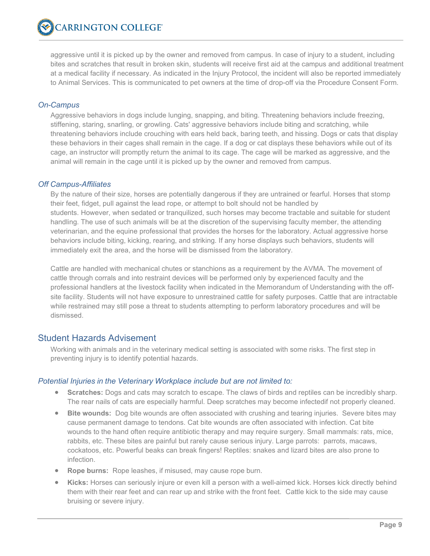aggressive until it is picked up by the owner and removed from campus. In case of injury to a student, including bites and scratches that result in broken skin, students will receive first aid at the campus and additional treatment at a medical facility if necessary. As indicated in the Injury Protocol, the incident will also be reported immediately to Animal Services. This is communicated to pet owners at the time of drop-off via the Procedure Consent Form.

## *On-Campus*

Aggressive behaviors in dogs include lunging, snapping, and biting. Threatening behaviors include freezing, stiffening, staring, snarling, or growling. Cats' aggressive behaviors include biting and scratching, while threatening behaviors include crouching with ears held back, baring teeth, and hissing. Dogs or cats that display these behaviors in their cages shall remain in the cage. If a dog or cat displays these behaviors while out of its cage, an instructor will promptly return the animal to its cage. The cage will be marked as aggressive, and the animal will remain in the cage until it is picked up by the owner and removed from campus.

#### *Off Campus-Affiliates*

By the nature of their size, horses are potentially dangerous if they are untrained or fearful. Horses that stomp their feet, fidget, pull against the lead rope, or attempt to bolt should not be handled by students. However, when sedated or tranquilized, such horses may become tractable and suitable for student handling. The use of such animals will be at the discretion of the supervising faculty member, the attending veterinarian, and the equine professional that provides the horses for the laboratory. Actual aggressive horse behaviors include biting, kicking, rearing, and striking. If any horse displays such behaviors, students will immediately exit the area, and the horse will be dismissed from the laboratory.

Cattle are handled with mechanical chutes or stanchions as a requirement by the AVMA. The movement of cattle through corrals and into restraint devices will be performed only by experienced faculty and the professional handlers at the livestock facility when indicated in the Memorandum of Understanding with the offsite facility. Students will not have exposure to unrestrained cattle for safety purposes. Cattle that are intractable while restrained may still pose a threat to students attempting to perform laboratory procedures and will be dismissed.

## <span id="page-8-0"></span>Student Hazards Advisement

Working with animals and in the veterinary medical setting is associated with some risks. The first step in preventing injury is to identify potential hazards.

#### *Potential Injuries in the Veterinary Workplace include but are not limited to:*

- **Scratches:** Dogs and cats may scratch to escape. The claws of birds and reptiles can be incredibly sharp. The rear nails of cats are especially harmful. Deep scratches may become infectedif not properly cleaned.
- **Bite wounds:** Dog bite wounds are often associated with crushing and tearing injuries. Severe bites may cause permanent damage to tendons. Cat bite wounds are often associated with infection. Cat bite wounds to the hand often require antibiotic therapy and may require surgery. Small mammals: rats, mice, rabbits, etc. These bites are painful but rarely cause serious injury. Large parrots: parrots, macaws, cockatoos, etc. Powerful beaks can break fingers! Reptiles: snakes and lizard bites are also prone to infection.
- **Rope burns:** Rope leashes, if misused, may cause rope burn.
- **Kicks:** Horses can seriously injure or even kill a person with a well-aimed kick. Horses kick directly behind them with their rear feet and can rear up and strike with the front feet. Cattle kick to the side may cause bruising or severe injury.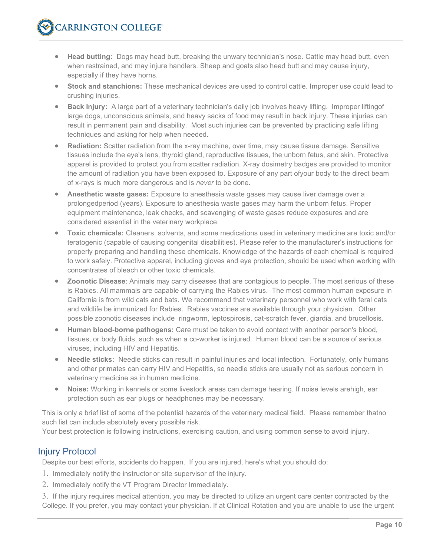- **Head butting:** Dogs may head butt, breaking the unwary technician's nose. Cattle may head butt, even when restrained, and may injure handlers. Sheep and goats also head butt and may cause injury, especially if they have horns.
- **Stock and stanchions:** These mechanical devices are used to control cattle. Improper use could lead to crushing injuries.
- **Back Injury:** A large part of a veterinary technician's daily job involves heavy lifting. Improper liftingof large dogs, unconscious animals, and heavy sacks of food may result in back injury. These injuries can result in permanent pain and disability. Most such injuries can be prevented by practicing safe lifting techniques and asking for help when needed.
- **Radiation:** Scatter radiation from the x-ray machine, over time, may cause tissue damage. Sensitive tissues include the eye's lens, thyroid gland, reproductive tissues, the unborn fetus, and skin. Protective apparel is provided to protect you from scatter radiation. X-ray dosimetry badges are provided to monitor the amount of radiation you have been exposed to. Exposure of any part ofyour body to the direct beam of x-rays is much more dangerous and is *never* to be done.
- **Anesthetic waste gases:** Exposure to anesthesia waste gases may cause liver damage over a prolongedperiod (years). Exposure to anesthesia waste gases may harm the unborn fetus. Proper equipment maintenance, leak checks, and scavenging of waste gases reduce exposures and are considered essential in the veterinary workplace.
- **Toxic chemicals:** Cleaners, solvents, and some medications used in veterinary medicine are toxic and/or teratogenic (capable of causing congenital disabilities). Please refer to the manufacturer's instructions for properly preparing and handling these chemicals. Knowledge of the hazards of each chemical is required to work safely. Protective apparel, including gloves and eye protection, should be used when working with concentrates of bleach or other toxic chemicals.
- **Zoonotic Disease**: Animals may carry diseases that are contagious to people. The most serious of these is Rabies. All mammals are capable of carrying the Rabies virus. The most common human exposure in California is from wild cats and bats. We recommend that veterinary personnel who work with feral cats and wildlife be immunized for Rabies. Rabies vaccines are available through your physician. Other possible zoonotic diseases include ringworm, leptospirosis, cat-scratch fever, giardia, and brucellosis.
- **Human blood-borne pathogens:** Care must be taken to avoid contact with another person's blood, tissues, or body fluids, such as when a co-worker is injured. Human blood can be a source of serious viruses, including HIV and Hepatitis.
- **Needle sticks:** Needle sticks can result in painful injuries and local infection. Fortunately, only humans and other primates can carry HIV and Hepatitis, so needle sticks are usually not as serious concern in veterinary medicine as in human medicine.
- **Noise:** Working in kennels or some livestock areas can damage hearing. If noise levels arehigh, ear protection such as ear plugs or headphones may be necessary.

This is only a brief list of some of the potential hazards of the veterinary medical field. Please remember thatno such list can include absolutely every possible risk.

Your best protection is following instructions, exercising caution, and using common sense to avoid injury.

## <span id="page-9-0"></span>Injury Protocol

Despite our best efforts, accidents do happen. If you are injured, here's what you should do:

- 1. Immediately notify the instructor or site supervisor of the injury.
- 2. Immediately notify the VT Program Director Immediately.

3. If the injury requires medical attention, you may be directed to utilize an urgent care center contracted by the College. If you prefer, you may contact your physician. If at Clinical Rotation and you are unable to use the urgent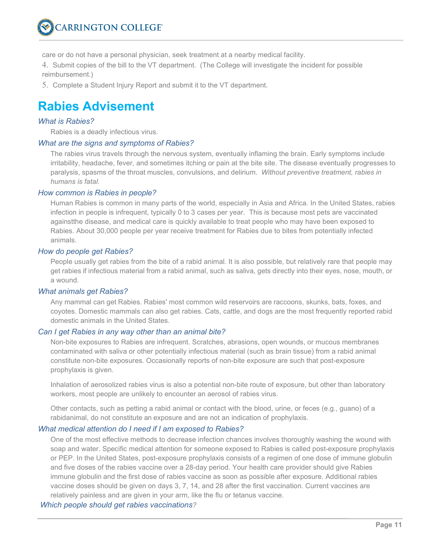

care or do not have a personal physician, seek treatment at a nearby medical facility.

4. Submit copies of the bill to the VT department. (The College will investigate the incident for possible reimbursement.)

5. Complete a Student Injury Report and submit it to the VT department.

## <span id="page-10-0"></span>**Rabies Advisement**

## *What is Rabies?*

Rabies is a deadly infectious virus.

#### *What are the signs and symptoms of Rabies?*

The rabies virus travels through the nervous system, eventually inflaming the brain. Early symptoms include irritability, headache, fever, and sometimes itching or pain at the bite site. The disease eventually progresses to paralysis, spasms of the throat muscles, convulsions, and delirium. *Without preventive treatment, rabies in humans is fatal.*

#### *How common is Rabies in people?*

Human Rabies is common in many parts of the world, especially in Asia and Africa. In the United States, rabies infection in people is infrequent, typically 0 to 3 cases per year. This is because most pets are vaccinated againstthe disease, and medical care is quickly available to treat people who may have been exposed to Rabies. About 30,000 people per year receive treatment for Rabies due to bites from potentially infected animals.

#### *How do people get Rabies?*

People usually get rabies from the bite of a rabid animal. It is also possible, but relatively rare that people may get rabies if infectious material from a rabid animal, such as saliva, gets directly into their eyes, nose, mouth, or a wound.

#### *What animals get Rabies?*

Any mammal can get Rabies. Rabies' most common wild reservoirs are raccoons, skunks, bats, foxes, and coyotes. Domestic mammals can also get rabies. Cats, cattle, and dogs are the most frequently reported rabid domestic animals in the United States.

#### *Can I get Rabies in any way other than an animal bite?*

Non-bite exposures to Rabies are infrequent. Scratches, abrasions, open wounds, or mucous membranes contaminated with saliva or other potentially infectious material (such as brain tissue) from a rabid animal constitute non-bite exposures. Occasionally reports of non-bite exposure are such that post-exposure prophylaxis is given.

Inhalation of aerosolized rabies virus is also a potential non-bite route of exposure, but other than laboratory workers, most people are unlikely to encounter an aerosol of rabies virus.

Other contacts, such as petting a rabid animal or contact with the blood, urine, or feces (e.g., guano) of a rabidanimal, do not constitute an exposure and are not an indication of prophylaxis.

#### *What medical attention do I need if I am exposed to Rabies?*

One of the most effective methods to decrease infection chances involves thoroughly washing the wound with soap and water. Specific medical attention for someone exposed to Rabies is called post-exposure prophylaxis or PEP. In the United States, post-exposure prophylaxis consists of a regimen of one dose of immune globulin and five doses of the rabies vaccine over a 28-day period. Your health care provider should give Rabies immune globulin and the first dose of rabies vaccine as soon as possible after exposure. Additional rabies vaccine doses should be given on days 3, 7, 14, and 28 after the first vaccination. Current vaccines are relatively painless and are given in your arm, like the flu or tetanus vaccine.

*Which people should get rabies vaccinations?*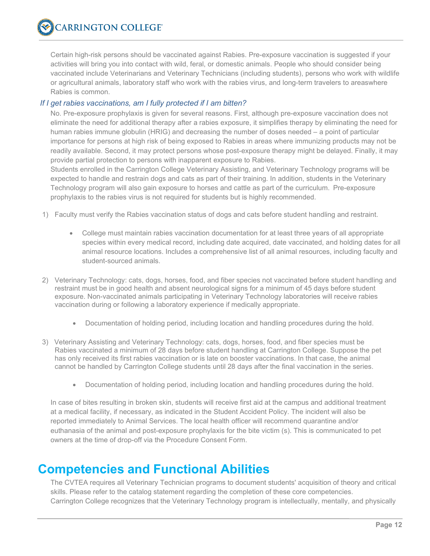Certain high-risk persons should be vaccinated against Rabies. Pre-exposure vaccination is suggested if your activities will bring you into contact with wild, feral, or domestic animals. People who should consider being vaccinated include Veterinarians and Veterinary Technicians (including students), persons who work with wildlife or agricultural animals, laboratory staff who work with the rabies virus, and long-term travelers to areaswhere Rabies is common.

## *If I get rabies vaccinations, am I fully protected if I am bitten?*

No. Pre-exposure prophylaxis is given for several reasons. First, although pre-exposure vaccination does not eliminate the need for additional therapy after a rabies exposure, it simplifies therapy by eliminating the need for human rabies immune globulin (HRIG) and decreasing the number of doses needed – a point of particular importance for persons at high risk of being exposed to Rabies in areas where immunizing products may not be readily available. Second, it may protect persons whose post-exposure therapy might be delayed. Finally, it may provide partial protection to persons with inapparent exposure to Rabies.

Students enrolled in the Carrington College Veterinary Assisting, and Veterinary Technology programs will be expected to handle and restrain dogs and cats as part of their training. In addition, students in the Veterinary Technology program will also gain exposure to horses and cattle as part of the curriculum.  Pre-exposure prophylaxis to the rabies virus is not required for students but is highly recommended. 

- 1) Faculty must verify the Rabies vaccination status of dogs and cats before student handling and restraint.
	- College must maintain rabies vaccination documentation for at least three years of all appropriate species within every medical record, including date acquired, date vaccinated, and holding dates for all animal resource locations. Includes a comprehensive list of all animal resources, including faculty and student-sourced animals.
- 2) Veterinary Technology: cats, dogs, horses, food, and fiber species not vaccinated before student handling and restraint must be in good health and absent neurological signs for a minimum of 45 days before student exposure. Non-vaccinated animals participating in Veterinary Technology laboratories will receive rabies vaccination during or following a laboratory experience if medically appropriate.
	- Documentation of holding period, including location and handling procedures during the hold.
- 3) Veterinary Assisting and Veterinary Technology: cats, dogs, horses, food, and fiber species must be Rabies vaccinated a minimum of 28 days before student handling at Carrington College. Suppose the pet has only received its first rabies vaccination or is late on booster vaccinations. In that case, the animal cannot be handled by Carrington College students until 28 days after the final vaccination in the series.
	- Documentation of holding period, including location and handling procedures during the hold.

In case of bites resulting in broken skin, students will receive first aid at the campus and additional treatment at a medical facility, if necessary, as indicated in the Student Accident Policy. The incident will also be reported immediately to Animal Services. The local health officer will recommend quarantine and/or euthanasia of the animal and post-exposure prophylaxis for the bite victim (s). This is communicated to pet owners at the time of drop-off via the Procedure Consent Form.

## <span id="page-11-0"></span>**Competencies and Functional Abilities**

The CVTEA requires all Veterinary Technician programs to document students' acquisition of theory and critical skills. Please refer to the catalog statement regarding the completion of these core competencies. Carrington College recognizes that the Veterinary Technology program is intellectually, mentally, and physically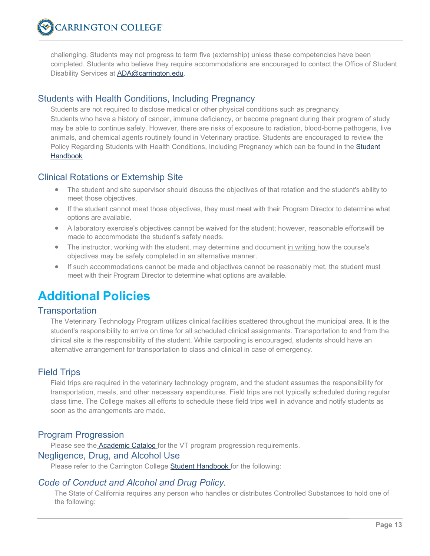challenging. Students may not progress to term five (externship) unless these competencies have been completed. Students who believe they require accommodations are encouraged to contact the Office of Student Disability Services at **ADA@carrington.edu**.

## <span id="page-12-1"></span><span id="page-12-0"></span>Students with Health Conditions, Including Pregnancy

Students are not required to disclose medical or other physical conditions such as pregnancy. Students who have a history of cancer, immune deficiency, or become pregnant during their program of study may be able to continue safely. However, there are risks of exposure to radiation, blood-borne pathogens, live animals, and chemical agents routinely found in Veterinary practice. Students are encouraged to review the Policy Regarding Students with Health Conditions, Including Pregnancy which can be found in the **Student** Handbook

## <span id="page-12-2"></span>Clinical Rotations or Externship Site

- The student and site supervisor should discuss the objectives of that rotation and the student's ability to meet those objectives.
- If the student cannot meet those objectives, they must meet with their Program Director to determine what options are available.
- A laboratory exercise's objectives cannot be waived for the student; however, reasonable effortswill be made to accommodate the student's safety needs.
- The instructor, working with the student, may determine and document in writing how the course's objectives may be safely completed in an alternative manner.
- If such accommodations cannot be made and objectives cannot be reasonably met, the student must meet with their Program Director to determine what options are available.

## <span id="page-12-3"></span>**Additional Policies**

## <span id="page-12-4"></span>**Transportation**

The Veterinary Technology Program utilizes clinical facilities scattered throughout the municipal area. It is the student's responsibility to arrive on time for all scheduled clinical assignments. Transportation to and from the clinical site is the responsibility of the student. While carpooling is encouraged, students should have an alternative arrangement for transportation to class and clinical in case of emergency.

## <span id="page-12-5"></span>Field Trips

Field trips are required in the veterinary technology program, and the student assumes the responsibility for transportation, meals, and other necessary expenditures. Field trips are not typically scheduled during regular class time. The College makes all efforts to schedule these field trips well in advance and notify students as soon as the arrangements are made.

## <span id="page-12-6"></span>Program Progression

Please see the **Academic Catalog** for the VT program progression requirements.

## <span id="page-12-7"></span>Negligence, Drug, and Alcohol Use

Please refer to the Carrington College **Student Handbook** for the following:

## <span id="page-12-8"></span>*Code of Conduct and Alcohol and Drug Policy.*

The State of California requires any person who handles or distributes Controlled Substances to hold one of the following: